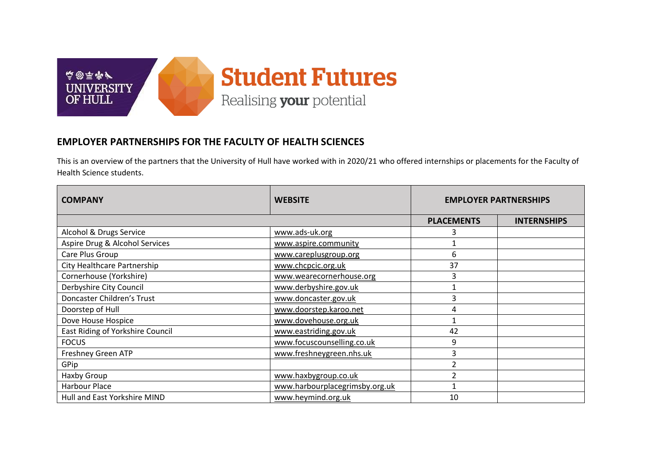

## **EMPLOYER PARTNERSHIPS FOR THE FACULTY OF HEALTH SCIENCES**

This is an overview of the partners that the University of Hull have worked with in 2020/21 who offered internships or placements for the Faculty of Health Science students.

| <b>COMPANY</b>                   | <b>WEBSITE</b>                 | <b>EMPLOYER PARTNERSHIPS</b> |                    |
|----------------------------------|--------------------------------|------------------------------|--------------------|
|                                  |                                | <b>PLACEMENTS</b>            | <b>INTERNSHIPS</b> |
| Alcohol & Drugs Service          | www.ads-uk.org                 | 3                            |                    |
| Aspire Drug & Alcohol Services   | www.aspire.community           |                              |                    |
| Care Plus Group                  | www.careplusgroup.org          | 6                            |                    |
| City Healthcare Partnership      | www.chcpcic.org.uk             | 37                           |                    |
| Cornerhouse (Yorkshire)          | www.wearecornerhouse.org       | 3                            |                    |
| Derbyshire City Council          | www.derbyshire.gov.uk          |                              |                    |
| Doncaster Children's Trust       | www.doncaster.gov.uk           | 3                            |                    |
| Doorstep of Hull                 | www.doorstep.karoo.net         | 4                            |                    |
| Dove House Hospice               | www.dovehouse.org.uk           | 1                            |                    |
| East Riding of Yorkshire Council | www.eastriding.gov.uk          | 42                           |                    |
| <b>FOCUS</b>                     | www.focuscounselling.co.uk     | 9                            |                    |
| Freshney Green ATP               | www.freshneygreen.nhs.uk       | 3                            |                    |
| GPip                             |                                | 2                            |                    |
| Haxby Group                      | www.haxbygroup.co.uk           |                              |                    |
| Harbour Place                    | www.harbourplacegrimsby.org.uk |                              |                    |
| Hull and East Yorkshire MIND     | www.heymind.org.uk             | 10                           |                    |